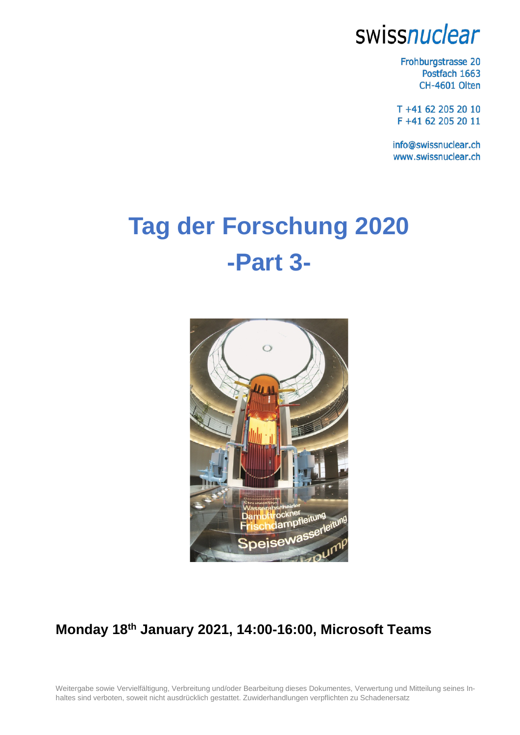# swissnuclear

Frohburgstrasse 20 Postfach 1663 CH-4601 Olten

T +41 62 205 20 10 F +41 62 205 20 11

info@swissnuclear.ch www.swissnuclear.ch

# **Tag der Forschung 2020 -Part 3-**



## **Monday 18th January 2021, 14:00-16:00, Microsoft Teams**

Weitergabe sowie Vervielfältigung, Verbreitung und/oder Bearbeitung dieses Dokumentes, Verwertung und Mitteilung seines Inhaltes sind verboten, soweit nicht ausdrücklich gestattet. Zuwiderhandlungen verpflichten zu Schadenersatz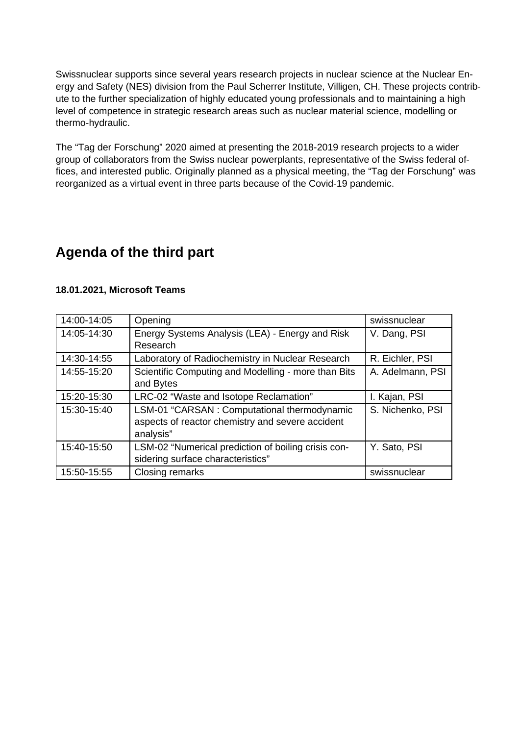Swissnuclear supports since several years research projects in nuclear science at the Nuclear Energy and Safety (NES) division from the Paul Scherrer Institute, Villigen, CH. These projects contribute to the further specialization of highly educated young professionals and to maintaining a high level of competence in strategic research areas such as nuclear material science, modelling or thermo-hydraulic.

The "Tag der Forschung" 2020 aimed at presenting the 2018-2019 research projects to a wider group of collaborators from the Swiss nuclear powerplants, representative of the Swiss federal offices, and interested public. Originally planned as a physical meeting, the "Tag der Forschung" was reorganized as a virtual event in three parts because of the Covid-19 pandemic.

### **Agenda of the third part**

#### **18.01.2021, Microsoft Teams**

| 14:00-14:05 | Opening                                             | swissnuclear     |
|-------------|-----------------------------------------------------|------------------|
| 14:05-14:30 | Energy Systems Analysis (LEA) - Energy and Risk     | V. Dang, PSI     |
|             | Research                                            |                  |
| 14:30-14:55 | Laboratory of Radiochemistry in Nuclear Research    | R. Eichler, PSI  |
| 14:55-15:20 | Scientific Computing and Modelling - more than Bits | A. Adelmann, PSI |
|             | and Bytes                                           |                  |
| 15:20-15:30 | LRC-02 "Waste and Isotope Reclamation"              | I. Kajan, PSI    |
| 15:30-15:40 | LSM-01 "CARSAN : Computational thermodynamic        | S. Nichenko, PSI |
|             | aspects of reactor chemistry and severe accident    |                  |
|             | analysis"                                           |                  |
| 15:40-15:50 | LSM-02 "Numerical prediction of boiling crisis con- | Y. Sato, PSI     |
|             | sidering surface characteristics"                   |                  |
| 15:50-15:55 | Closing remarks                                     | swissnuclear     |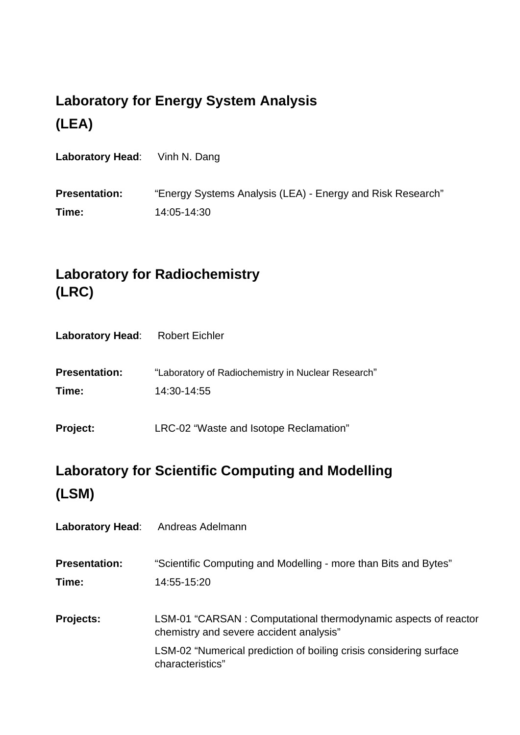## **Laboratory for Energy System Analysis (LEA)**

| <b>Laboratory Head:</b> Vinh N. Dang |                                                            |
|--------------------------------------|------------------------------------------------------------|
| <b>Presentation:</b>                 | "Energy Systems Analysis (LEA) - Energy and Risk Research" |
| Time:                                | 14:05-14:30                                                |

## **Laboratory for Radiochemistry (LRC)**

|  | <b>Laboratory Head:</b> |  | <b>Robert Eichler</b> |
|--|-------------------------|--|-----------------------|
|--|-------------------------|--|-----------------------|

| <b>Presentation:</b> | "Laboratory of Radiochemistry in Nuclear Research" |
|----------------------|----------------------------------------------------|
| Time:                | 14:30-14:55                                        |

**Project:** LRC-02 "Waste and Isotope Reclamation"

## **Laboratory for Scientific Computing and Modelling (LSM)**

Laboratory Head: Andreas Adelmann

**Presentation:** "Scientific Computing and Modelling - more than Bits and Bytes" **Time:** 14:55-15:20

**Projects:** LSM-01 "CARSAN : Computational thermodynamic aspects of reactor chemistry and severe accident analysis" LSM-02 "Numerical prediction of boiling crisis considering surface characteristics"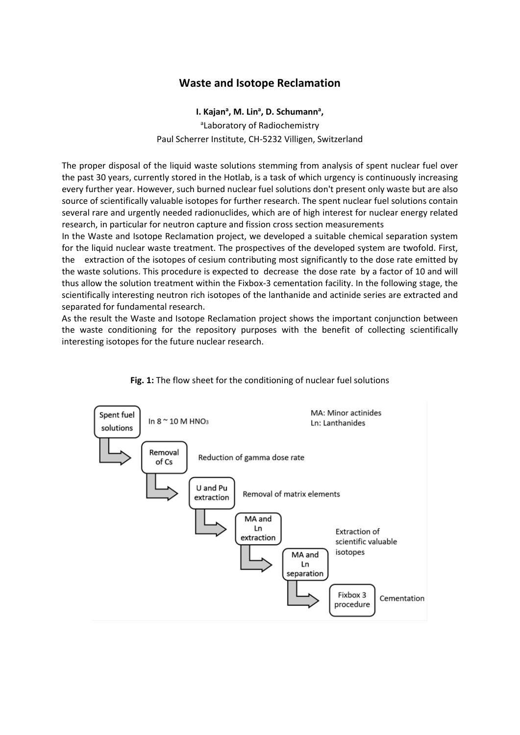#### **Waste and Isotope Reclamation**

I. Kajan<sup>a</sup>, M. Lin<sup>a</sup>, D. Schumann<sup>a</sup>, aLaboratory of Radiochemistry Paul Scherrer Institute, CH-5232 Villigen, Switzerland

The proper disposal of the liquid waste solutions stemming from analysis of spent nuclear fuel over the past 30 years, currently stored in the Hotlab, is a task of which urgency is continuously increasing every further year. However, such burned nuclear fuel solutions don't present only waste but are also source of scientifically valuable isotopes for further research. The spent nuclear fuel solutions contain several rare and urgently needed radionuclides, which are of high interest for nuclear energy related research, in particular for neutron capture and fission cross section measurements

In the Waste and Isotope Reclamation project, we developed a suitable chemical separation system for the liquid nuclear waste treatment. The prospectives of the developed system are twofold. First, the extraction of the isotopes of cesium contributing most significantly to the dose rate emitted by the waste solutions. This procedure is expected to decrease the dose rate by a factor of 10 and will thus allow the solution treatment within the Fixbox-3 cementation facility. In the following stage, the scientifically interesting neutron rich isotopes of the lanthanide and actinide series are extracted and separated for fundamental research.

As the result the Waste and Isotope Reclamation project shows the important conjunction between the waste conditioning for the repository purposes with the benefit of collecting scientifically interesting isotopes for the future nuclear research.



**Fig. 1:** The flow sheet for the conditioning of nuclear fuel solutions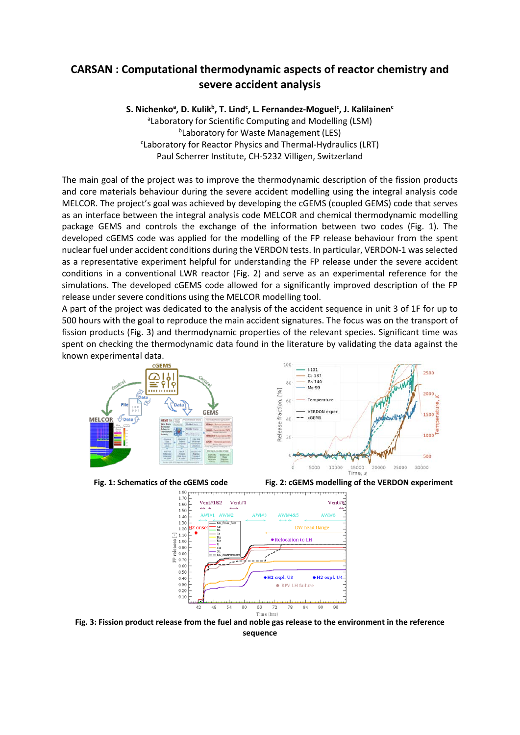### **CARSAN : Computational thermodynamic aspects of reactor chemistry and severe accident analysis**

S. Nichenko<sup>a</sup>, D. Kulik<sup>b</sup>, T. Lind<sup>c</sup>, L. Fernandez-Moguel<sup>c</sup>, J. Kalilainen<sup>c</sup> <sup>a</sup>Laboratory for Scientific Computing and Modelling (LSM) **bLaboratory for Waste Management (LES)** <sup>c</sup>Laboratory for Reactor Physics and Thermal-Hydraulics (LRT) Paul Scherrer Institute, CH-5232 Villigen, Switzerland

The main goal of the project was to improve the thermodynamic description of the fission products and core materials behaviour during the severe accident modelling using the integral analysis code MELCOR. The project's goal was achieved by developing the cGEMS (coupled GEMS) code that serves as an interface between the integral analysis code MELCOR and chemical thermodynamic modelling package GEMS and controls the exchange of the information between two codes (Fig. 1). The developed cGEMS code was applied for the modelling of the FP release behaviour from the spent nuclear fuel under accident conditions during the VERDON tests. In particular, VERDON-1 was selected as a representative experiment helpful for understanding the FP release under the severe accident conditions in a conventional LWR reactor (Fig. 2) and serve as an experimental reference for the simulations. The developed cGEMS code allowed for a significantly improved description of the FP release under severe conditions using the MELCOR modelling tool.

A part of the project was dedicated to the analysis of the accident sequence in unit 3 of 1F for up to 500 hours with the goal to reproduce the main accident signatures. The focus was on the transport of fission products (Fig. 3) and thermodynamic properties of the relevant species. Significant time was spent on checking the thermodynamic data found in the literature by validating the data against the known experimental data.



 $1 - 131$ 2500  $Cs-137$ **Pa.140** Mo-99  $[96]$ fraction,  $60$ Temperature **VERDON** exper  $- cGEMS$  $\overline{AB}$ Release 1000 20 500 ó 5000 anno  $15000$  $25000$ annon 20000 Time, s

**Fig. 1: Schematics of the cGEMS code Fig. 2: cGEMS modelling of the VERDON experiment**



**Fig. 3: Fission product release from the fuel and noble gas release to the environment in the reference sequence**